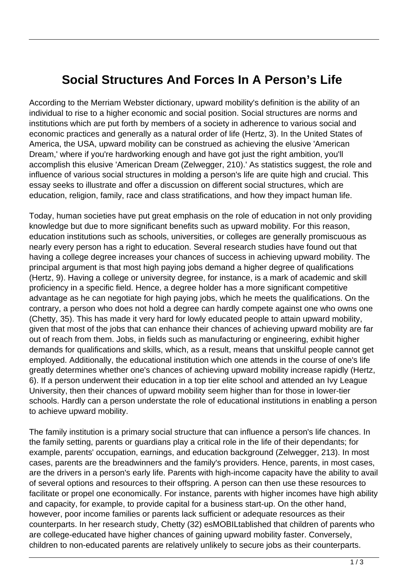## **Social Structures And Forces In A Person's Life**

According to the Merriam Webster dictionary, upward mobility's definition is the ability of an individual to rise to a higher economic and social position. Social structures are norms and institutions which are put forth by members of a society in adherence to various social and economic practices and generally as a natural order of life (Hertz, 3). In the United States of America, the USA, upward mobility can be construed as achieving the elusive 'American Dream,' where if you're hardworking enough and have got just the right ambition, you'll accomplish this elusive 'American Dream (Zelwegger, 210).' As statistics suggest, the role and influence of various social structures in molding a person's life are quite high and crucial. This essay seeks to illustrate and offer a discussion on different social structures, which are education, religion, family, race and class stratifications, and how they impact human life.

Today, human societies have put great emphasis on the role of education in not only providing knowledge but due to more significant benefits such as upward mobility. For this reason, education institutions such as schools, universities, or colleges are generally promiscuous as nearly every person has a right to education. Several research studies have found out that having a college degree increases your chances of success in achieving upward mobility. The principal argument is that most high paying jobs demand a higher degree of qualifications (Hertz, 9). Having a college or university degree, for instance, is a mark of academic and skill proficiency in a specific field. Hence, a degree holder has a more significant competitive advantage as he can negotiate for high paying jobs, which he meets the qualifications. On the contrary, a person who does not hold a degree can hardly compete against one who owns one (Chetty, 35). This has made it very hard for lowly educated people to attain upward mobility, given that most of the jobs that can enhance their chances of achieving upward mobility are far out of reach from them. Jobs, in fields such as manufacturing or engineering, exhibit higher demands for qualifications and skills, which, as a result, means that unskilful people cannot get employed. Additionally, the educational institution which one attends in the course of one's life greatly determines whether one's chances of achieving upward mobility increase rapidly (Hertz, 6). If a person underwent their education in a top tier elite school and attended an Ivy League University, then their chances of upward mobility seem higher than for those in lower-tier schools. Hardly can a person understate the role of educational institutions in enabling a person to achieve upward mobility.

The family institution is a primary social structure that can influence a person's life chances. In the family setting, parents or guardians play a critical role in the life of their dependants; for example, parents' occupation, earnings, and education background (Zelwegger, 213). In most cases, parents are the breadwinners and the family's providers. Hence, parents, in most cases, are the drivers in a person's early life. Parents with high-income capacity have the ability to avail of several options and resources to their offspring. A person can then use these resources to facilitate or propel one economically. For instance, parents with higher incomes have high ability and capacity, for example, to provide capital for a business start-up. On the other hand, however, poor income families or parents lack sufficient or adequate resources as their counterparts. In her research study, Chetty (32) esMOBILtablished that children of parents who are college-educated have higher chances of gaining upward mobility faster. Conversely, children to non-educated parents are relatively unlikely to secure jobs as their counterparts.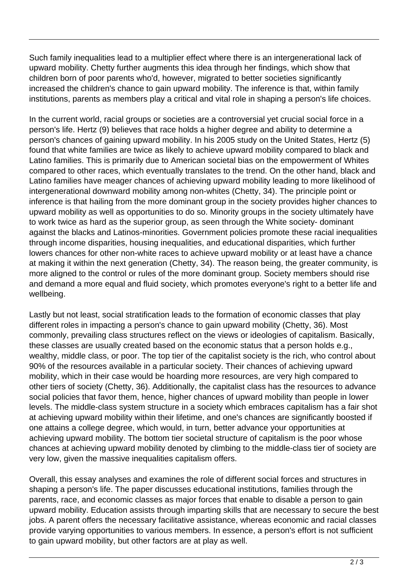Such family inequalities lead to a multiplier effect where there is an intergenerational lack of upward mobility. Chetty further augments this idea through her findings, which show that children born of poor parents who'd, however, migrated to better societies significantly increased the children's chance to gain upward mobility. The inference is that, within family institutions, parents as members play a critical and vital role in shaping a person's life choices.

In the current world, racial groups or societies are a controversial yet crucial social force in a person's life. Hertz (9) believes that race holds a higher degree and ability to determine a person's chances of gaining upward mobility. In his 2005 study on the United States, Hertz (5) found that white families are twice as likely to achieve upward mobility compared to black and Latino families. This is primarily due to American societal bias on the empowerment of Whites compared to other races, which eventually translates to the trend. On the other hand, black and Latino families have meager chances of achieving upward mobility leading to more likelihood of intergenerational downward mobility among non-whites (Chetty, 34). The principle point or inference is that hailing from the more dominant group in the society provides higher chances to upward mobility as well as opportunities to do so. Minority groups in the society ultimately have to work twice as hard as the superior group, as seen through the White society- dominant against the blacks and Latinos-minorities. Government policies promote these racial inequalities through income disparities, housing inequalities, and educational disparities, which further lowers chances for other non-white races to achieve upward mobility or at least have a chance at making it within the next generation (Chetty, 34). The reason being, the greater community, is more aligned to the control or rules of the more dominant group. Society members should rise and demand a more equal and fluid society, which promotes everyone's right to a better life and wellbeing.

Lastly but not least, social stratification leads to the formation of economic classes that play different roles in impacting a person's chance to gain upward mobility (Chetty, 36). Most commonly, prevailing class structures reflect on the views or ideologies of capitalism. Basically, these classes are usually created based on the economic status that a person holds e.g., wealthy, middle class, or poor. The top tier of the capitalist society is the rich, who control about 90% of the resources available in a particular society. Their chances of achieving upward mobility, which in their case would be hoarding more resources, are very high compared to other tiers of society (Chetty, 36). Additionally, the capitalist class has the resources to advance social policies that favor them, hence, higher chances of upward mobility than people in lower levels. The middle-class system structure in a society which embraces capitalism has a fair shot at achieving upward mobility within their lifetime, and one's chances are significantly boosted if one attains a college degree, which would, in turn, better advance your opportunities at achieving upward mobility. The bottom tier societal structure of capitalism is the poor whose chances at achieving upward mobility denoted by climbing to the middle-class tier of society are very low, given the massive inequalities capitalism offers.

Overall, this essay analyses and examines the role of different social forces and structures in shaping a person's life. The paper discusses educational institutions, families through the parents, race, and economic classes as major forces that enable to disable a person to gain upward mobility. Education assists through imparting skills that are necessary to secure the best jobs. A parent offers the necessary facilitative assistance, whereas economic and racial classes provide varying opportunities to various members. In essence, a person's effort is not sufficient to gain upward mobility, but other factors are at play as well.